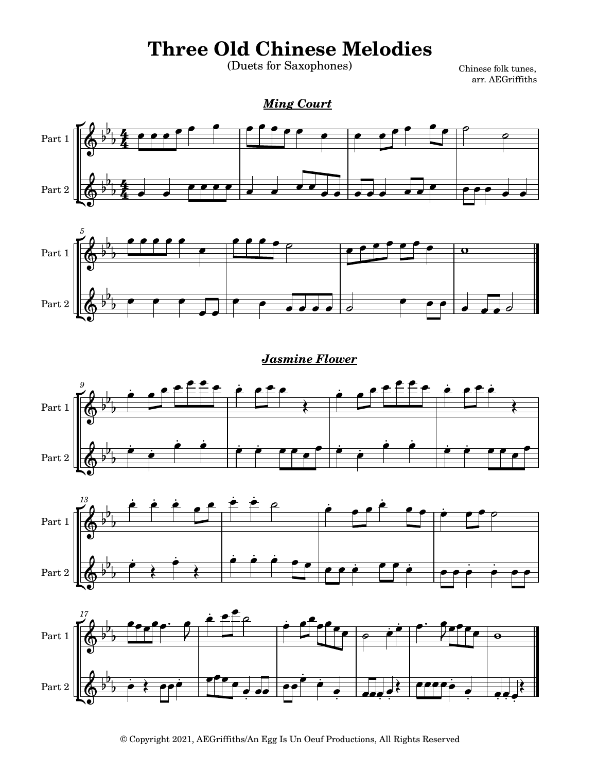## **Three Old Chinese Melodies**

(Duets for Saxophones)

 Chinese folk tunes, arr. AEGriffiths

## *Ming Court*





## *Jasmine Flower*